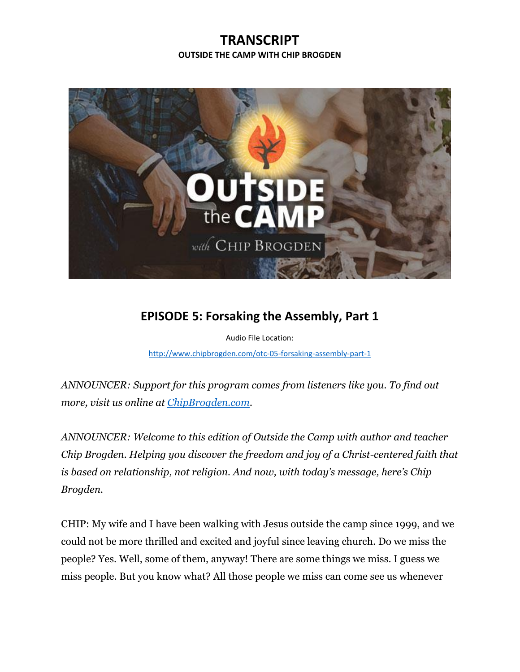## **TRANSCRIPT OUTSIDE THE CAMP WITH CHIP BROGDEN**



## **EPISODE 5: Forsaking the Assembly, Part 1**

Audio File Location: [http://www.chipbrogden.com/otc-05-forsaking-assembly-part-1](http://www.chipbrogden.com/otc-05-forsaking-assembly-part-1/)

*ANNOUNCER: Support for this program comes from listeners like you. To find out more, visit us online at [ChipBrogden.com.](http://www.chipbrogden.com/)*

*ANNOUNCER: Welcome to this edition of Outside the Camp with author and teacher Chip Brogden. Helping you discover the freedom and joy of a Christ-centered faith that is based on relationship, not religion. And now, with today's message, here's Chip Brogden.*

CHIP: My wife and I have been walking with Jesus outside the camp since 1999, and we could not be more thrilled and excited and joyful since leaving church. Do we miss the people? Yes. Well, some of them, anyway! There are some things we miss. I guess we miss people. But you know what? All those people we miss can come see us whenever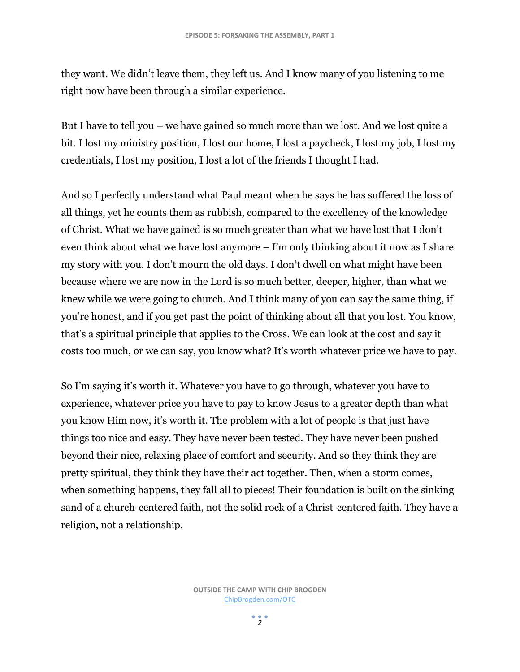they want. We didn't leave them, they left us. And I know many of you listening to me right now have been through a similar experience.

But I have to tell you – we have gained so much more than we lost. And we lost quite a bit. I lost my ministry position, I lost our home, I lost a paycheck, I lost my job, I lost my credentials, I lost my position, I lost a lot of the friends I thought I had.

And so I perfectly understand what Paul meant when he says he has suffered the loss of all things, yet he counts them as rubbish, compared to the excellency of the knowledge of Christ. What we have gained is so much greater than what we have lost that I don't even think about what we have lost anymore – I'm only thinking about it now as I share my story with you. I don't mourn the old days. I don't dwell on what might have been because where we are now in the Lord is so much better, deeper, higher, than what we knew while we were going to church. And I think many of you can say the same thing, if you're honest, and if you get past the point of thinking about all that you lost. You know, that's a spiritual principle that applies to the Cross. We can look at the cost and say it costs too much, or we can say, you know what? It's worth whatever price we have to pay.

So I'm saying it's worth it. Whatever you have to go through, whatever you have to experience, whatever price you have to pay to know Jesus to a greater depth than what you know Him now, it's worth it. The problem with a lot of people is that just have things too nice and easy. They have never been tested. They have never been pushed beyond their nice, relaxing place of comfort and security. And so they think they are pretty spiritual, they think they have their act together. Then, when a storm comes, when something happens, they fall all to pieces! Their foundation is built on the sinking sand of a church-centered faith, not the solid rock of a Christ-centered faith. They have a religion, not a relationship.

 $2<sup>2</sup>$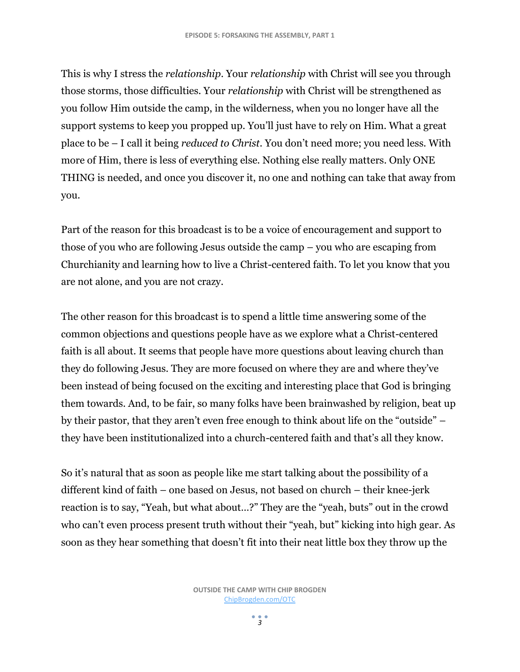This is why I stress the *relationship*. Your *relationship* with Christ will see you through those storms, those difficulties. Your *relationship* with Christ will be strengthened as you follow Him outside the camp, in the wilderness, when you no longer have all the support systems to keep you propped up. You'll just have to rely on Him. What a great place to be – I call it being *reduced to Christ*. You don't need more; you need less. With more of Him, there is less of everything else. Nothing else really matters. Only ONE THING is needed, and once you discover it, no one and nothing can take that away from you.

Part of the reason for this broadcast is to be a voice of encouragement and support to those of you who are following Jesus outside the camp – you who are escaping from Churchianity and learning how to live a Christ-centered faith. To let you know that you are not alone, and you are not crazy.

The other reason for this broadcast is to spend a little time answering some of the common objections and questions people have as we explore what a Christ-centered faith is all about. It seems that people have more questions about leaving church than they do following Jesus. They are more focused on where they are and where they've been instead of being focused on the exciting and interesting place that God is bringing them towards. And, to be fair, so many folks have been brainwashed by religion, beat up by their pastor, that they aren't even free enough to think about life on the "outside" – they have been institutionalized into a church-centered faith and that's all they know.

So it's natural that as soon as people like me start talking about the possibility of a different kind of faith – one based on Jesus, not based on church – their knee-jerk reaction is to say, "Yeah, but what about…?" They are the "yeah, buts" out in the crowd who can't even process present truth without their "yeah, but" kicking into high gear. As soon as they hear something that doesn't fit into their neat little box they throw up the

 $\frac{1}{2}$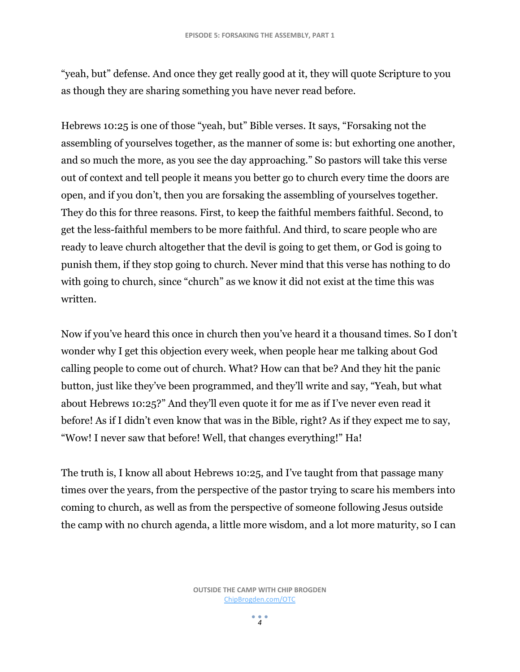"yeah, but" defense. And once they get really good at it, they will quote Scripture to you as though they are sharing something you have never read before.

Hebrews 10:25 is one of those "yeah, but" Bible verses. It says, "Forsaking not the assembling of yourselves together, as the manner of some is: but exhorting one another, and so much the more, as you see the day approaching." So pastors will take this verse out of context and tell people it means you better go to church every time the doors are open, and if you don't, then you are forsaking the assembling of yourselves together. They do this for three reasons. First, to keep the faithful members faithful. Second, to get the less-faithful members to be more faithful. And third, to scare people who are ready to leave church altogether that the devil is going to get them, or God is going to punish them, if they stop going to church. Never mind that this verse has nothing to do with going to church, since "church" as we know it did not exist at the time this was written.

Now if you've heard this once in church then you've heard it a thousand times. So I don't wonder why I get this objection every week, when people hear me talking about God calling people to come out of church. What? How can that be? And they hit the panic button, just like they've been programmed, and they'll write and say, "Yeah, but what about Hebrews 10:25?" And they'll even quote it for me as if I've never even read it before! As if I didn't even know that was in the Bible, right? As if they expect me to say, "Wow! I never saw that before! Well, that changes everything!" Ha!

The truth is, I know all about Hebrews 10:25, and I've taught from that passage many times over the years, from the perspective of the pastor trying to scare his members into coming to church, as well as from the perspective of someone following Jesus outside the camp with no church agenda, a little more wisdom, and a lot more maturity, so I can

 $\frac{1}{4}$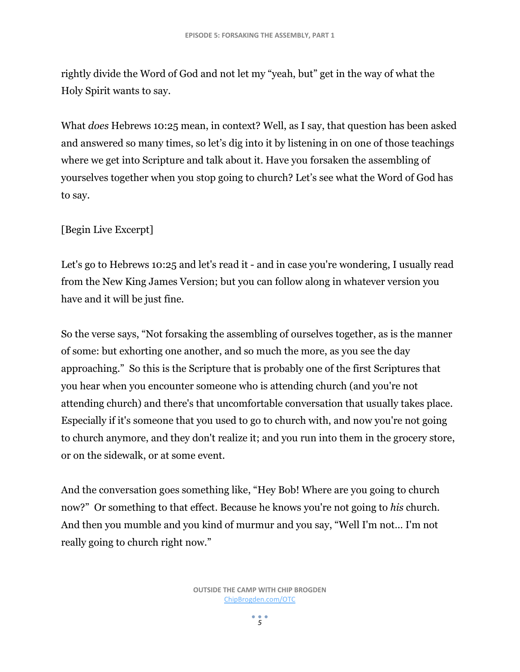rightly divide the Word of God and not let my "yeah, but" get in the way of what the Holy Spirit wants to say.

What *does* Hebrews 10:25 mean, in context? Well, as I say, that question has been asked and answered so many times, so let's dig into it by listening in on one of those teachings where we get into Scripture and talk about it. Have you forsaken the assembling of yourselves together when you stop going to church? Let's see what the Word of God has to say.

## [Begin Live Excerpt]

Let's go to Hebrews 10:25 and let's read it - and in case you're wondering, I usually read from the New King James Version; but you can follow along in whatever version you have and it will be just fine.

So the verse says, "Not forsaking the assembling of ourselves together, as is the manner of some: but exhorting one another, and so much the more, as you see the day approaching." So this is the Scripture that is probably one of the first Scriptures that you hear when you encounter someone who is attending church (and you're not attending church) and there's that uncomfortable conversation that usually takes place. Especially if it's someone that you used to go to church with, and now you're not going to church anymore, and they don't realize it; and you run into them in the grocery store, or on the sidewalk, or at some event.

And the conversation goes something like, "Hey Bob! Where are you going to church now?" Or something to that effect. Because he knows you're not going to *his* church. And then you mumble and you kind of murmur and you say, "Well I'm not… I'm not really going to church right now."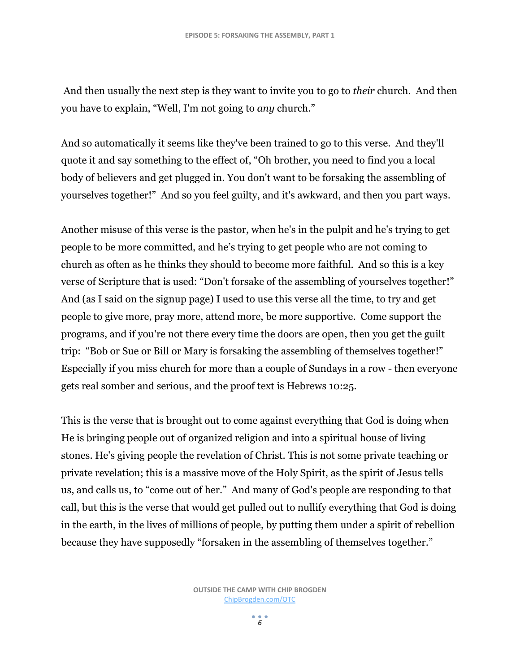And then usually the next step is they want to invite you to go to *their* church. And then you have to explain, "Well, I'm not going to *any* church."

And so automatically it seems like they've been trained to go to this verse. And they'll quote it and say something to the effect of, "Oh brother, you need to find you a local body of believers and get plugged in. You don't want to be forsaking the assembling of yourselves together!" And so you feel guilty, and it's awkward, and then you part ways.

Another misuse of this verse is the pastor, when he's in the pulpit and he's trying to get people to be more committed, and he's trying to get people who are not coming to church as often as he thinks they should to become more faithful. And so this is a key verse of Scripture that is used: "Don't forsake of the assembling of yourselves together!" And (as I said on the signup page) I used to use this verse all the time, to try and get people to give more, pray more, attend more, be more supportive. Come support the programs, and if you're not there every time the doors are open, then you get the guilt trip: "Bob or Sue or Bill or Mary is forsaking the assembling of themselves together!" Especially if you miss church for more than a couple of Sundays in a row - then everyone gets real somber and serious, and the proof text is Hebrews 10:25.

This is the verse that is brought out to come against everything that God is doing when He is bringing people out of organized religion and into a spiritual house of living stones. He's giving people the revelation of Christ. This is not some private teaching or private revelation; this is a massive move of the Holy Spirit, as the spirit of Jesus tells us, and calls us, to "come out of her." And many of God's people are responding to that call, but this is the verse that would get pulled out to nullify everything that God is doing in the earth, in the lives of millions of people, by putting them under a spirit of rebellion because they have supposedly "forsaken in the assembling of themselves together."

> **OUTSIDE THE CAMP WITH CHIP BROGDEN** [ChipBrogden.com/OTC](http://chipbrogden.com/OTC)

> > $\frac{1}{6}$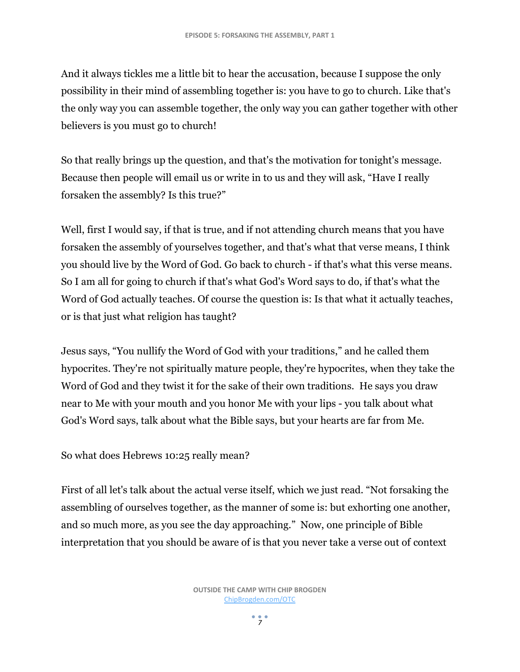And it always tickles me a little bit to hear the accusation, because I suppose the only possibility in their mind of assembling together is: you have to go to church. Like that's the only way you can assemble together, the only way you can gather together with other believers is you must go to church!

So that really brings up the question, and that's the motivation for tonight's message. Because then people will email us or write in to us and they will ask, "Have I really forsaken the assembly? Is this true?"

Well, first I would say, if that is true, and if not attending church means that you have forsaken the assembly of yourselves together, and that's what that verse means, I think you should live by the Word of God. Go back to church - if that's what this verse means. So I am all for going to church if that's what God's Word says to do, if that's what the Word of God actually teaches. Of course the question is: Is that what it actually teaches, or is that just what religion has taught?

Jesus says, "You nullify the Word of God with your traditions," and he called them hypocrites. They're not spiritually mature people, they're hypocrites, when they take the Word of God and they twist it for the sake of their own traditions. He says you draw near to Me with your mouth and you honor Me with your lips - you talk about what God's Word says, talk about what the Bible says, but your hearts are far from Me.

So what does Hebrews 10:25 really mean?

First of all let's talk about the actual verse itself, which we just read. "Not forsaking the assembling of ourselves together, as the manner of some is: but exhorting one another, and so much more, as you see the day approaching." Now, one principle of Bible interpretation that you should be aware of is that you never take a verse out of context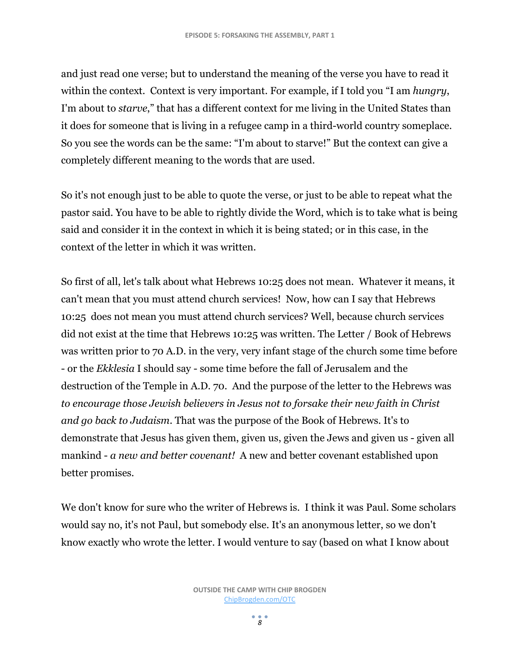and just read one verse; but to understand the meaning of the verse you have to read it within the context. Context is very important. For example, if I told you "I am *hungry*, I'm about to *starve*," that has a different context for me living in the United States than it does for someone that is living in a refugee camp in a third-world country someplace. So you see the words can be the same: "I'm about to starve!" But the context can give a completely different meaning to the words that are used.

So it's not enough just to be able to quote the verse, or just to be able to repeat what the pastor said. You have to be able to rightly divide the Word, which is to take what is being said and consider it in the context in which it is being stated; or in this case, in the context of the letter in which it was written.

So first of all, let's talk about what Hebrews 10:25 does not mean. Whatever it means, it can't mean that you must attend church services! Now, how can I say that Hebrews 10:25 does not mean you must attend church services? Well, because church services did not exist at the time that Hebrews 10:25 was written. The Letter / Book of Hebrews was written prior to 70 A.D. in the very, very infant stage of the church some time before - or the *Ekklesia* I should say - some time before the fall of Jerusalem and the destruction of the Temple in A.D. 70. And the purpose of the letter to the Hebrews was *to encourage those Jewish believers in Jesus not to forsake their new faith in Christ and go back to Judaism*. That was the purpose of the Book of Hebrews. It's to demonstrate that Jesus has given them, given us, given the Jews and given us - given all mankind - *a new and better covenant!* A new and better covenant established upon better promises.

We don't know for sure who the writer of Hebrews is. I think it was Paul. Some scholars would say no, it's not Paul, but somebody else. It's an anonymous letter, so we don't know exactly who wrote the letter. I would venture to say (based on what I know about

 $\frac{1}{8}$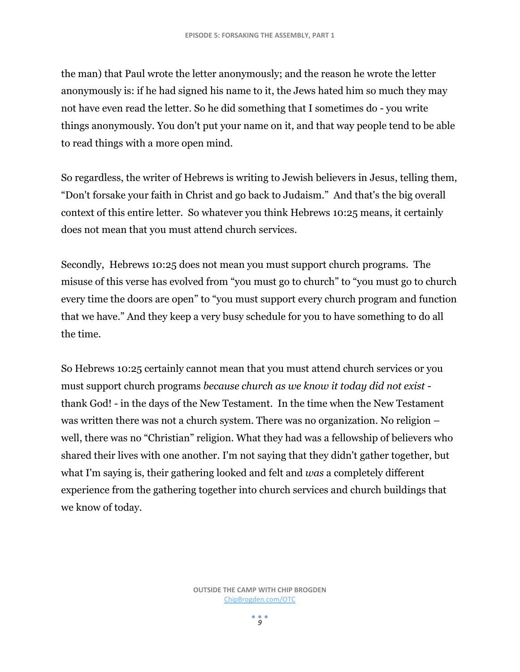the man) that Paul wrote the letter anonymously; and the reason he wrote the letter anonymously is: if he had signed his name to it, the Jews hated him so much they may not have even read the letter. So he did something that I sometimes do - you write things anonymously. You don't put your name on it, and that way people tend to be able to read things with a more open mind.

So regardless, the writer of Hebrews is writing to Jewish believers in Jesus, telling them, "Don't forsake your faith in Christ and go back to Judaism." And that's the big overall context of this entire letter. So whatever you think Hebrews 10:25 means, it certainly does not mean that you must attend church services.

Secondly, Hebrews 10:25 does not mean you must support church programs. The misuse of this verse has evolved from "you must go to church" to "you must go to church every time the doors are open" to "you must support every church program and function that we have." And they keep a very busy schedule for you to have something to do all the time.

So Hebrews 10:25 certainly cannot mean that you must attend church services or you must support church programs *because church as we know it today did not exist* thank God! - in the days of the New Testament. In the time when the New Testament was written there was not a church system. There was no organization. No religion – well, there was no "Christian" religion. What they had was a fellowship of believers who shared their lives with one another. I'm not saying that they didn't gather together, but what I'm saying is, their gathering looked and felt and *was* a completely different experience from the gathering together into church services and church buildings that we know of today.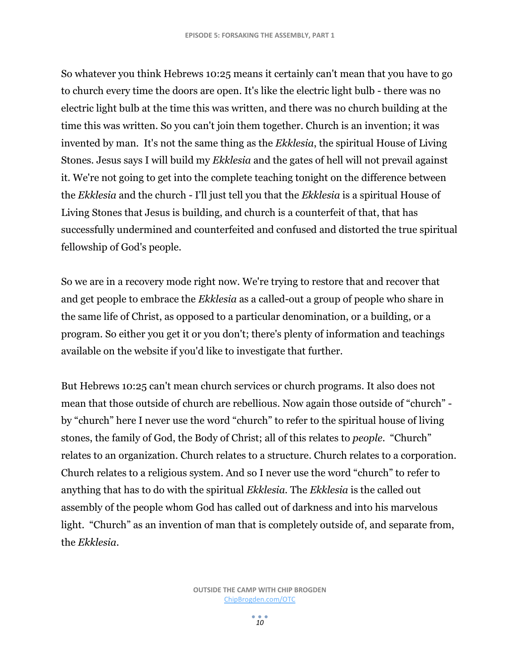So whatever you think Hebrews 10:25 means it certainly can't mean that you have to go to church every time the doors are open. It's like the electric light bulb - there was no electric light bulb at the time this was written, and there was no church building at the time this was written. So you can't join them together. Church is an invention; it was invented by man. It's not the same thing as the *Ekklesia*, the spiritual House of Living Stones. Jesus says I will build my *Ekklesia* and the gates of hell will not prevail against it. We're not going to get into the complete teaching tonight on the difference between the *Ekklesia* and the church - I'll just tell you that the *Ekklesia* is a spiritual House of Living Stones that Jesus is building, and church is a counterfeit of that, that has successfully undermined and counterfeited and confused and distorted the true spiritual fellowship of God's people.

So we are in a recovery mode right now. We're trying to restore that and recover that and get people to embrace the *Ekklesia* as a called-out a group of people who share in the same life of Christ, as opposed to a particular denomination, or a building, or a program. So either you get it or you don't; there's plenty of information and teachings available on the website if you'd like to investigate that further.

But Hebrews 10:25 can't mean church services or church programs. It also does not mean that those outside of church are rebellious. Now again those outside of "church" by "church" here I never use the word "church" to refer to the spiritual house of living stones, the family of God, the Body of Christ; all of this relates to *people*. "Church" relates to an organization. Church relates to a structure. Church relates to a corporation. Church relates to a religious system. And so I never use the word "church" to refer to anything that has to do with the spiritual *Ekklesia.* The *Ekklesia* is the called out assembly of the people whom God has called out of darkness and into his marvelous light. "Church" as an invention of man that is completely outside of, and separate from, the *Ekklesia*.

*10*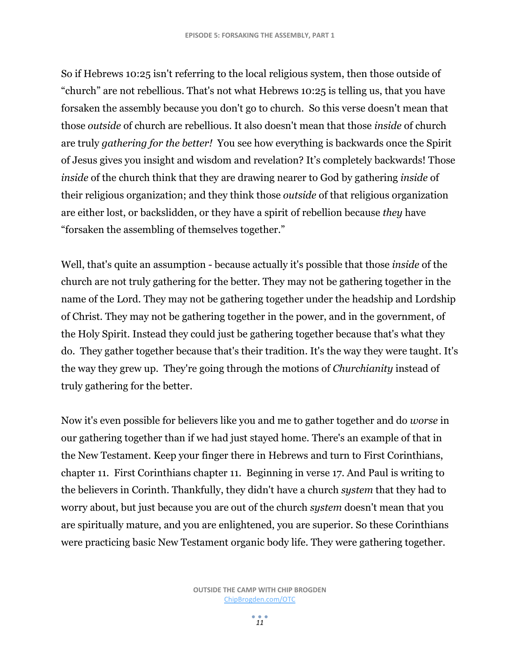So if Hebrews 10:25 isn't referring to the local religious system, then those outside of "church" are not rebellious. That's not what Hebrews 10:25 is telling us, that you have forsaken the assembly because you don't go to church. So this verse doesn't mean that those *outside* of church are rebellious. It also doesn't mean that those *inside* of church are truly *gathering for the better!* You see how everything is backwards once the Spirit of Jesus gives you insight and wisdom and revelation? It's completely backwards! Those *inside* of the church think that they are drawing nearer to God by gathering *inside* of their religious organization; and they think those *outside* of that religious organization are either lost, or backslidden, or they have a spirit of rebellion because *they* have "forsaken the assembling of themselves together."

Well, that's quite an assumption - because actually it's possible that those *inside* of the church are not truly gathering for the better. They may not be gathering together in the name of the Lord. They may not be gathering together under the headship and Lordship of Christ. They may not be gathering together in the power, and in the government, of the Holy Spirit. Instead they could just be gathering together because that's what they do. They gather together because that's their tradition. It's the way they were taught. It's the way they grew up. They're going through the motions of *Churchianity* instead of truly gathering for the better.

Now it's even possible for believers like you and me to gather together and do *worse* in our gathering together than if we had just stayed home. There's an example of that in the New Testament. Keep your finger there in Hebrews and turn to First Corinthians, chapter 11. First Corinthians chapter 11. Beginning in verse 17. And Paul is writing to the believers in Corinth. Thankfully, they didn't have a church *system* that they had to worry about, but just because you are out of the church *system* doesn't mean that you are spiritually mature, and you are enlightened, you are superior. So these Corinthians were practicing basic New Testament organic body life. They were gathering together.

> **OUTSIDE THE CAMP WITH CHIP BROGDEN** [ChipBrogden.com/OTC](http://chipbrogden.com/OTC)

> > *11*